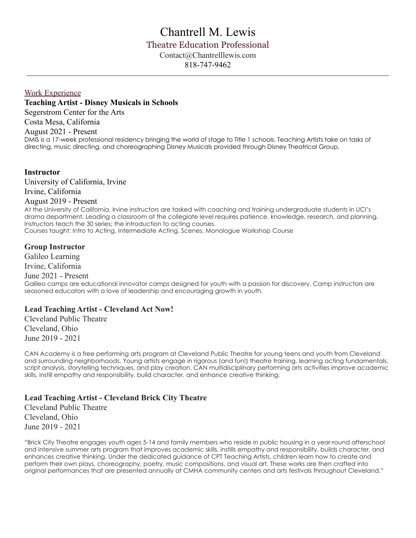# Chantrell M. Lewis Theatre Education Professional Contact@Chantrelllewis.com 818-747-9462

## Work Experience

**Teaching Artist - Disney Musicals in Schools** Segerstrom Center for the Arts Costa Mesa, California August 2021 - Present DMIS is a 17-week professional residency bringing the world of stage to Title 1 schools. Teaching Artists take on tasks of directing, music directing, and choreographing Disney Musicals provided through Disney Theatrical Group.

# **Instructor**

University of California, Irvine Irvine, California

# August 2019 - Present

At the University of California, Irvine instructors are tasked with coaching and training undergraduate students in UCI's drama department. Leading a classroom at the collegiate level requires patience, knowledge, research, and planning. Instructors teach the 30 series; the introduction to acting courses. Courses taught: Intro to Acting, Intermediate Acting, Scenes, Monologue Workshop Course

## **Group Instructor**

Galileo Learning Irvine, California

# June 2021 - Present

Galileo camps are educational innovator camps designed for youth with a passion for discovery. Camp instructors are seasoned educators with a love of leadership and encouraging growth in youth.

# **Lead Teaching Artist - Cleveland Act Now!**

Cleveland Public Theatre Cleveland, Ohio June 2019 - 2021

CAN Academy is a free performing arts program at Cleveland Public Theatre for young teens and youth from Cleveland and surrounding neighborhoods. Young artists engage in rigorous (and fun!) theatre training, learning acting fundamentals, script analysis, storytelling techniques, and play creation. CAN multidisciplinary performing arts activities improve academic skills, instill empathy and responsibility, build character, and enhance creative thinking.

# **Lead Teaching Artist - Cleveland Brick City Theatre**

Cleveland Public Theatre Cleveland, Ohio June 2019 - 2021

"Brick City Theatre engages youth ages 5-14 and family members who reside in public housing in a year-round afterschool and intensive summer arts program that improves academic skills, instills empathy and responsibility, builds character, and enhances creative thinking. Under the dedicated guidance of CPT Teaching Artists, children learn how to create and perform their own plays, choreography, poetry, music compositions, and visual art. These works are then crafted into original performances that are presented annually at CMHA community centers and arts festivals throughout Cleveland."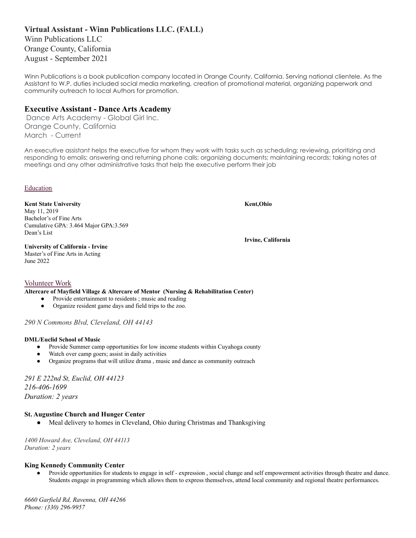# **Virtual Assistant - Winn Publications LLC. (FALL)**

Winn Publications LLC Orange County, California August - September 2021

Winn Publications is a book publication company located in Orange County, California. Serving national clientele. As the Assistant to W.P. duties included social media marketing, creation of promotional material, organizing paperwork and community outreach to local Authors for promotion.

## **Executive Assistant - Dance Arts Academy**

Dance Arts Academy - Global Girl Inc. Orange County, California March - Current

An executive assistant helps the executive for whom they work with tasks such as scheduling; reviewing, prioritizing and responding to emails; answering and returning phone calls; organizing documents; maintaining records; taking notes at meetings and any other administrative tasks that help the executive perform their job

## Education

**Kent State University Kent,Ohio** May 11, 2019 Bachelor's of Fine Arts Cumulative GPA: 3.464 Major GPA:3.569 Dean's List

**Irvine, California**

#### **University of California - Irvine** Master's of Fine Arts in Acting June 2022

## Volunteer Work

**Altercare of Mayfield Village & Altercare of Mentor (Nursing & Rehabilitation Center)**

- Provide entertainment to residents ; music and reading
- Organize resident game days and field trips to the zoo.

*290 N Commons Blvd, Cleveland, OH 44143*

## **DML/Euclid School of Music**

- Provide Summer camp opportunities for low income students within Cuyahoga county
- Watch over camp goers; assist in daily activities
- Organize programs that will utilize drama, music and dance as community outreach

*291 E 222nd St, Euclid, OH 44123 216-406-1699 Duration: 2 years*

## **St. Augustine Church and Hunger Center**

Meal delivery to homes in Cleveland, Ohio during Christmas and Thanksgiving

*1400 Howard Ave, Cleveland, OH 44113 Duration: 2 years*

## **King Kennedy Community Center**

Provide opportunities for students to engage in self - expression, social change and self empowerment activities through theatre and dance. Students engage in programming which allows them to express themselves, attend local community and regional theatre performances.

*6660 Garfield Rd, Ravenna, OH 44266 [Phone](https://www.google.com/search?rlz=1C1CHBF_enUS811US812&q=king+kennedy+community+center+phone&ludocid=13338895117122123468&sa=X&ved=2ahUKEwiqtfSCk-nsAhW9hHIEHSpeCCYQ6BMwEXoECCAQBQ): (330) [296-9957](https://www.google.com/search?gs_ssp=eJzj4tFP1zcsKDOrKE63TDJgtFI1qLCwMDY0Tko1SzMyNUxMtUyyMqhIsjRMMTEzS0s2MDFMMktO9pLNzsxLV8hOzctLTalUSM7PzS3NyywBslLzSlKLACPyGuM&q=king+kennedy+community+center&rlz=1C1CHBF_enUS811US812&oq=king+kennedu+comm&aqs=chrome.1.69i57j46i13i175i199j0i22i30l4.5505j0j7&sourceid=chrome&ie=UTF-8#)*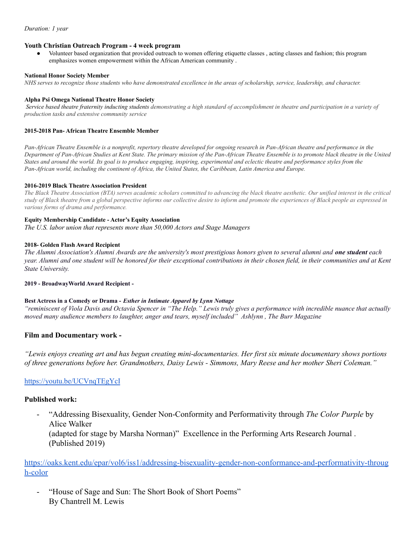#### **Youth Christian Outreach Program - 4 week program**

Volunteer based organization that provided outreach to women offering etiquette classes, acting classes and fashion; this program emphasizes women empowerment within the African American community .

#### **National Honor Society Member**

*NHS serves to recognize those students who have demonstrated excellence in the areas of scholarship, service, leadership, and character.*

#### **Alpha Psi Omega National Theatre Honor Society**

*Service based theatre fraternity inducting students demonstrating a high standard of accomplishment in theatre and participation in a variety of production tasks and extensive community service*

#### **2015-2018 Pan- African Theatre Ensemble Member**

*Pan-African Theatre Ensemble is a nonprofit, repertory theatre developed for ongoing research in Pan-African theatre and performance in the Department of Pan-African Studies at Kent State. The primary mission of the Pan-African Theatre Ensemble is to promote black theatre in the United States and around the world. Its goal is to produce engaging, inspiring, experimental and eclectic theatre and performance styles from the Pan-African world, including the continent of Africa, the United States, the Caribbean, Latin America and Europe.*

#### **2016-2019 Black Theatre Association President**

*The Black Theatre Association (BTA) serves academic scholars committed to advancing the black theatre aesthetic. Our unified interest in the critical study of Black theatre from a global perspective informs our collective desire to inform and promote the experiences of Black people as expressed in various forms of drama and performance.*

#### **Equity Membership Candidate - Actor's Equity Association**

*The U.S. labor union that represents more than 50,000 Actors and Stage Managers*

#### **2018- Golden Flash Award Recipient**

The Alumni Association's Alumni Awards are the university's most prestigious honors given to several alumni and **one student** each year. Alumni and one student will be honored for their exceptional contributions in their chosen field, in their communities and at Kent *State University.*

## **2019 - BroadwayWorld Award Recipient -**

## **Best Actress in a Comedy or Drama -** *Esther in Intimate Apparel by Lynn Nottage*

"reminiscent of Viola Davis and Octavia Spencer in "The Help." Lewis truly gives a performance with incredible nuance that actually *moved many audience members to laughter, anger and tears, myself included" Ashlynn , The Burr Magazine*

## **Film and Documentary work -**

"Lewis enjoys creating art and has begun creating mini-documentaries. Her first six minute documentary shows portions of three generations before her. Grandmothers, Daisy Lewis - Simmons, Mary Reese and her mother Sheri Coleman."

## <https://youtu.be/UCVnqTEgYcI>

## **Published work:**

- "Addressing Bisexuality, Gender Non-Conformity and Performativity through *The Color Purple* by Alice Walker (adapted for stage by Marsha Norman)" Excellence in the Performing Arts Research Journal . (Published 2019)

https://oaks.kent.edu/epar/vol6/iss1/addressing-bisexuality-gender-non-conformance-and-performativity-throug h-color

"House of Sage and Sun: The Short Book of Short Poems" By Chantrell M. Lewis